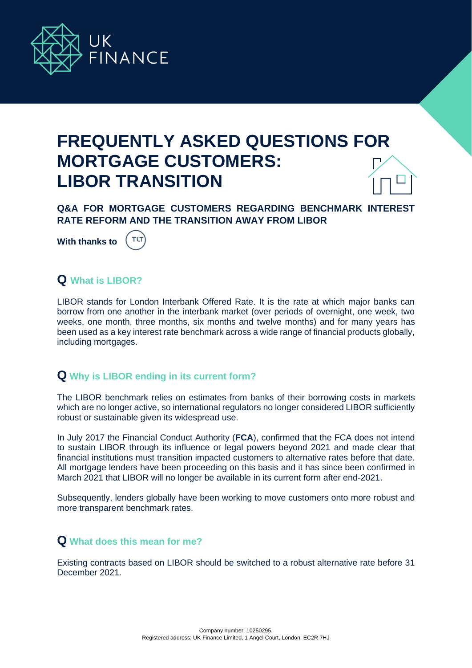

# **FREQUENTLY ASKED QUESTIONS FOR MORTGAGE CUSTOMERS: LIBOR TRANSITION**

**Q&A FOR MORTGAGE CUSTOMERS REGARDING BENCHMARK INTEREST RATE REFORM AND THE TRANSITION AWAY FROM LIBOR**

**With thanks to** 



# **Q What is LIBOR?**

LIBOR stands for London Interbank Offered Rate. It is the rate at which major banks can borrow from one another in the interbank market (over periods of overnight, one week, two weeks, one month, three months, six months and twelve months) and for many years has been used as a key interest rate benchmark across a wide range of financial products globally, including mortgages.

## **Q Why is LIBOR ending in its current form?**

The LIBOR benchmark relies on estimates from banks of their borrowing costs in markets which are no longer active, so international regulators no longer considered LIBOR sufficiently robust or sustainable given its widespread use.

In July 2017 the Financial Conduct Authority (**FCA**), confirmed that the FCA does not intend to sustain LIBOR through its influence or legal powers beyond 2021 and made clear that financial institutions must transition impacted customers to alternative rates before that date. All mortgage lenders have been proceeding on this basis and it has since been confirmed in March 2021 that LIBOR will no longer be available in its current form after end-2021.

Subsequently, lenders globally have been working to move customers onto more robust and more transparent benchmark rates.

## **Q What does this mean for me?**

Existing contracts based on LIBOR should be switched to a robust alternative rate before 31 December 2021.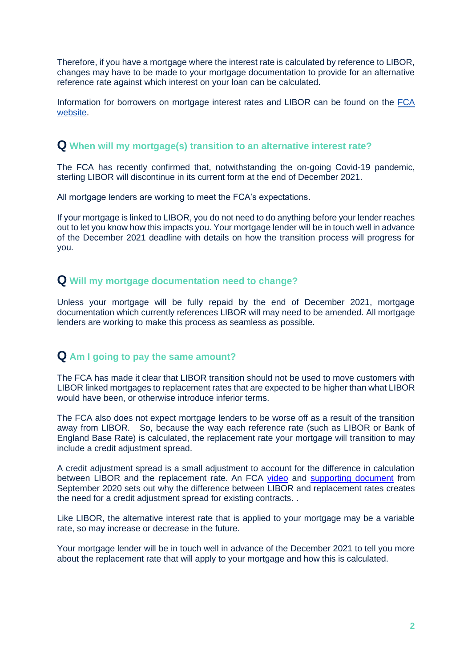Therefore, if you have a mortgage where the interest rate is calculated by reference to LIBOR, changes may have to be made to your mortgage documentation to provide for an alternative reference rate against which interest on your loan can be calculated.

Information for borrowers on mortgage interest rates and LIBOR can be found on the [FCA](https://www.fca.org.uk/consumers/mortgage-interest-rates-libor)  [website.](https://www.fca.org.uk/consumers/mortgage-interest-rates-libor)

#### **Q When will my mortgage(s) transition to an alternative interest rate?**

The FCA has recently confirmed that, notwithstanding the on-going Covid-19 pandemic, sterling LIBOR will discontinue in its current form at the end of December 2021.

All mortgage lenders are working to meet the FCA's expectations.

If your mortgage is linked to LIBOR, you do not need to do anything before your lender reaches out to let you know how this impacts you. Your mortgage lender will be in touch well in advance of the December 2021 deadline with details on how the transition process will progress for you.

#### **Q Will my mortgage documentation need to change?**

Unless your mortgage will be fully repaid by the end of December 2021, mortgage documentation which currently references LIBOR will may need to be amended. All mortgage lenders are working to make this process as seamless as possible.

#### **Q Am I going to pay the same amount?**

The FCA has made it clear that LIBOR transition should not be used to move customers with LIBOR linked mortgages to replacement rates that are expected to be higher than what LIBOR would have been, or otherwise introduce inferior terms.

The FCA also does not expect mortgage lenders to be worse off as a result of the transition away from LIBOR. So, because the way each reference rate (such as LIBOR or Bank of England Base Rate) is calculated, the replacement rate your mortgage will transition to may include a credit adjustment spread.

A credit adjustment spread is a small adjustment to account for the difference in calculation between LIBOR and the replacement rate. An FCA [video](https://vimeo.com/459024634/63d8a3b197) and [supporting document](https://www.bankofengland.co.uk/-/media/boe/files/markets/benchmarks/rfr/what-is-credit-adjustment-spread-supporting-slides.pdf?la=en&hash=902E3D63832AE0692DBCA6F1129F38968EBD7F43) from September 2020 sets out why the difference between LIBOR and replacement rates creates the need for a credit adjustment spread for existing contracts. .

Like LIBOR, the alternative interest rate that is applied to your mortgage may be a variable rate, so may increase or decrease in the future.

Your mortgage lender will be in touch well in advance of the December 2021 to tell you more about the replacement rate that will apply to your mortgage and how this is calculated.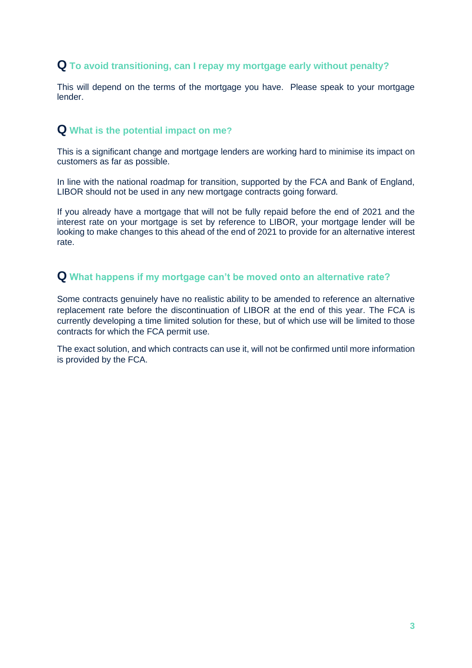## **Q To avoid transitioning, can I repay my mortgage early without penalty?**

This will depend on the terms of the mortgage you have. Please speak to your mortgage lender.

## **Q What is the potential impact on me?**

This is a significant change and mortgage lenders are working hard to minimise its impact on customers as far as possible.

In line with the national roadmap for transition, supported by the FCA and Bank of England, LIBOR should not be used in any new mortgage contracts going forward.

If you already have a mortgage that will not be fully repaid before the end of 2021 and the interest rate on your mortgage is set by reference to LIBOR, your mortgage lender will be looking to make changes to this ahead of the end of 2021 to provide for an alternative interest rate.

#### **Q What happens if my mortgage can't be moved onto an alternative rate?**

Some contracts genuinely have no realistic ability to be amended to reference an alternative replacement rate before the discontinuation of LIBOR at the end of this year. The FCA is currently developing a time limited solution for these, but of which use will be limited to those contracts for which the FCA permit use.

The exact solution, and which contracts can use it, will not be confirmed until more information is provided by the FCA.